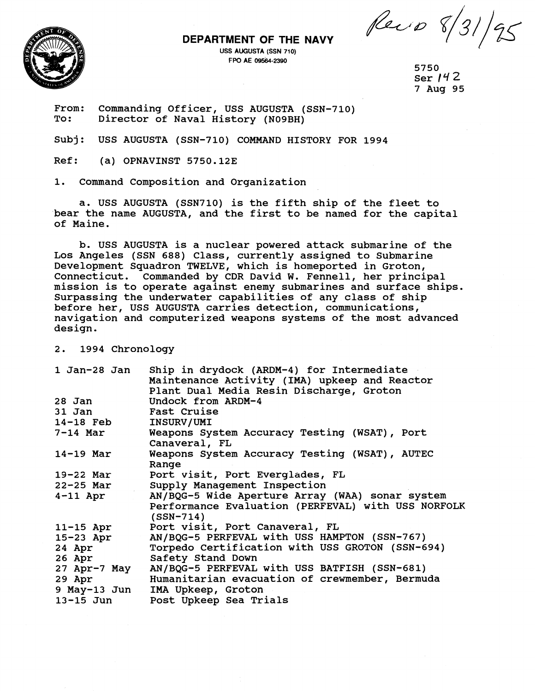**DEPARTMENT OF THE NAVY**<br>USS AUGUSTA (SSN 710)<br>FPO AE 09564-2390



**USS AUGUSTA (SSN 710)** <sup>&</sup>lt;

5750 Ser  $142$ 7 Aug 95

From: Commanding Officer, USS AUGUSTA (SSN-710)<br>To: Director of Naval History (N09BH)

Subj: USS AUGUSTA (SSN-710) COMMAND HISTORY FOR 1994

Ref: (a) OPNAVINST 5750.12E

1. Command Composition and Organization

a. USS AUGUSTA (SSN710) is the fifth ship of the fleet to bear the name AUGUSTA, and the first to be named for the capital of Maine.

b. USS AUGUSTA is a nuclear powered attack submarine of the Los Angeles (SSN 688) Class, currently assigned to Submarine Development Squadron TWELVE, which is homeported in Groton, Connecticut. Commanded by CDR David W. Fennell, her principal mission is to operate against enemy submarines and surface ships. Surpassing the underwater capabilities of any class of ship before her, USS AUGUSTA carries detection, communications, navigation and computerized weapons systems of the most advanced design.

2. 1994 Chronology

| 1 Jan-28 Jan    | Ship in drydock (ARDM-4) for Intermediate                 |
|-----------------|-----------------------------------------------------------|
|                 | Maintenance Activity (IMA) upkeep and Reactor             |
|                 | Plant Dual Media Resin Discharge, Groton                  |
| 28 Jan          | Undock from ARDM-4                                        |
| 31 Jan          | <b>Fast Cruise</b>                                        |
| $14-18$ Feb     | <b>INSURV/UMI</b>                                         |
| <b>7-14 Mar</b> | Weapons System Accuracy Testing (WSAT), Port              |
|                 | Canaveral, FL                                             |
| 14-19 Mar       | Weapons System Accuracy Testing (WSAT), AUTEC             |
|                 | Range                                                     |
| 19-22 Mar       | Port visit, Port Everglades, FL                           |
| 22-25 Mar       | Supply Management Inspection                              |
| $4-11$ Apr      | AN/BQG-5 Wide Aperture Array (WAA) sonar system           |
|                 | Performance Evaluation (PERFEVAL) with USS NORFOLK        |
|                 | $(SSN-714)$                                               |
| $11-15$ Apr     | Port visit, Port Canaveral, FL                            |
| $15-23$ Apr     | AN/BQG-5 PERFEVAL with USS HAMPTON (SSN-767)              |
| $24$ Apr        | Torpedo Certification with USS GROTON (SSN-694)           |
| 26 Apr          | Safety Stand Down                                         |
|                 | 27 Apr-7 May AN/BQG-5 PERFEVAL with USS BATFISH (SSN-681) |
| 29 Apr          | Humanitarian evacuation of crewmember, Bermuda            |
|                 | 9 May-13 Jun IMA Upkeep, Groton                           |
| $13 - 15$ Jun   | Post Upkeep Sea Trials                                    |
|                 |                                                           |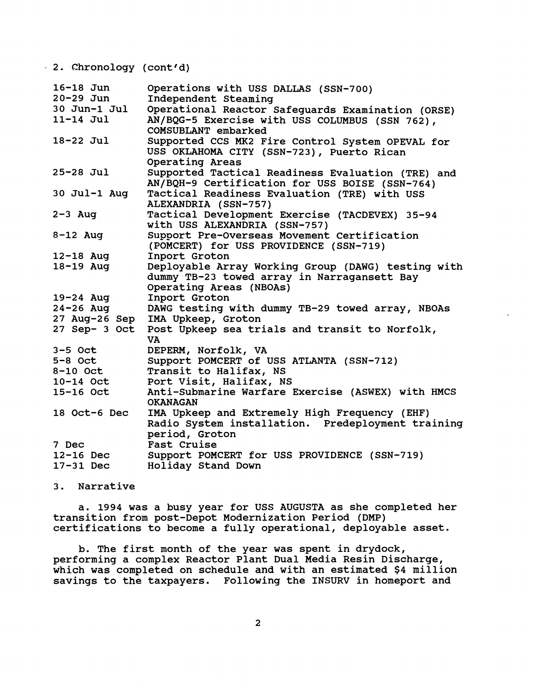**2. Chronology (cont d)** 

| $16 - 18$ Jun<br>$20 - 29$ Jun<br>30 Jun-1 Jul<br>$11-14$ Jul | Operations with USS DALLAS (SSN-700)<br>Independent Steaming<br>Operational Reactor Safeguards Examination (ORSE)<br>AN/BQG-5 Exercise with USS COLUMBUS (SSN 762), |
|---------------------------------------------------------------|---------------------------------------------------------------------------------------------------------------------------------------------------------------------|
| 18-22 Jul                                                     | COMSUBLANT embarked<br>Supported CCS MK2 Fire Control System OPEVAL for<br>USS OKLAHOMA CITY (SSN-723), Puerto Rican<br>Operating Areas                             |
| $25 - 28$ Jul                                                 | Supported Tactical Readiness Evaluation (TRE) and<br>AN/BQH-9 Certification for USS BOISE (SSN-764)                                                                 |
| 30 Jul-1 Aug                                                  | Tactical Readiness Evaluation (TRE) with USS<br>ALEXANDRIA (SSN-757)                                                                                                |
| $2-3$ Aug                                                     | Tactical Development Exercise (TACDEVEX) 35-94<br>with USS ALEXANDRIA (SSN-757)                                                                                     |
| $8-12$ Aug                                                    | Support Pre-Overseas Movement Certification<br>(POMCERT) for USS PROVIDENCE (SSN-719)                                                                               |
| $12 - 18$ Aug                                                 | Inport Groton                                                                                                                                                       |
| 18-19 Aug                                                     | Deployable Array Working Group (DAWG) testing with<br>dummy TB-23 towed array in Narragansett Bay<br>Operating Areas (NBOAs)                                        |
| $19 - 24$ Aug                                                 | Inport Groton                                                                                                                                                       |
| $24 - 26$ Aug                                                 | DAWG testing with dummy TB-29 towed array, NBOAs                                                                                                                    |
|                                                               | 27 Aug-26 Sep IMA Upkeep, Groton                                                                                                                                    |
| $27$ Sep- 3 Oct                                               | Post Upkeep sea trials and transit to Norfolk,<br>VA                                                                                                                |
| $3-5$ Oct                                                     | DEPERM, Norfolk, VA                                                                                                                                                 |
| $5 - 8$ Oct                                                   | Support POMCERT of USS ATLANTA (SSN-712)                                                                                                                            |
| 8-10 Oct                                                      | Transit to Halifax, NS                                                                                                                                              |
| 10-14 Oct                                                     | Port Visit, Halifax, NS                                                                                                                                             |
| 15-16 Oct                                                     | Anti-Submarine Warfare Exercise (ASWEX) with HMCS                                                                                                                   |
|                                                               | <b>OKANAGAN</b>                                                                                                                                                     |
| 18 Oct-6 Dec                                                  | IMA Upkeep and Extremely High Frequency (EHF)<br>Radio System installation. Predeployment training<br>period, Groton                                                |
| 7 Dec                                                         | Fast Cruise                                                                                                                                                         |
| $12-16$ Dec                                                   | Support POMCERT for USS PROVIDENCE (SSN-719)                                                                                                                        |
| $17-31$ Dec                                                   | Holiday Stand Down                                                                                                                                                  |

**3. Narrative** 

**a. 1994 was a busy year for USS AUGUSTA as she completed her transition from post-Depot Modernization Period (DMP) certifications to become a fully operational, deployable asset.** 

**b. The first month of the year was spent in drydock, performing a complex Reactor Plant Dual Media Resin Discharge, which was completed on schedule and with an estimated \$4 million savings to the taxpayers. Following the INSURV in homeport and**